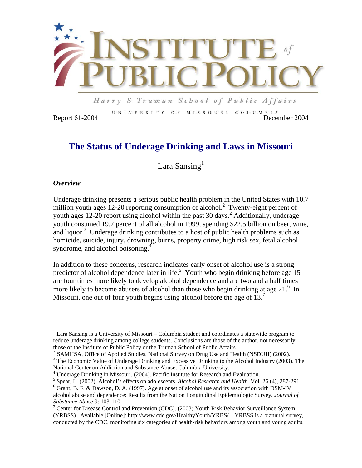

Harry S Truman School of Public Affairs

UNIVERSITY OF MISSOURI-COLUMBIA Report 61-2004 December 2004

# **The Status of Underage Drinking and Laws in Missouri**

Lara Sansing $<sup>1</sup>$ </sup>

## *Overview*

 $\overline{a}$ 

Underage drinking presents a serious public health problem in the United States with 10.7 million youth ages 12-20 reporting consumption of alcohol.<sup>2</sup> Twenty-eight percent of youth ages 12-20 report using alcohol within the past 30 days.<sup>2</sup> Additionally, underage youth consumed 19.7 percent of all alcohol in 1999, spending \$22.5 billion on beer, wine, and liquor.<sup>3</sup> Underage drinking contributes to a host of public health problems such as homicide, suicide, injury, drowning, burns, property crime, high risk sex, fetal alcohol syndrome, and alcohol poisoning.<sup>4</sup>

In addition to these concerns, research indicates early onset of alcohol use is a strong predictor of alcohol dependence later in life.<sup>5</sup> Youth who begin drinking before age  $15$ are four times more likely to develop alcohol dependence and are two and a half times more likely to become abusers of alcohol than those who begin drinking at age 21.<sup>6</sup> In Missouri, one out of four youth begins using alcohol before the age of  $13<sup>7</sup>$ 

 $1$  Lara Sansing is a University of Missouri – Columbia student and coordinates a statewide program to reduce underage drinking among college students. Conclusions are those of the author, not necessarily those of the Institute of Public Policy or the Truman School of Public Affairs.

 $t^2$  SAMHSA, Office of Applied Studies, National Survey on Drug Use and Health (NSDUH) (2002).

<sup>&</sup>lt;sup>3</sup> The Economic Value of Underage Drinking and Excessive Drinking to the Alcohol Industry (2003). The National Center on Addiction and Substance Abuse, Columbia University.

<sup>&</sup>lt;sup>4</sup> Underage Drinking in Missouri. (2004). Pacific Institute for Research and Evaluation.

<sup>&</sup>lt;sup>5</sup> Spear, L. (2002). Alcohol's effects on adolescents. *Alcohol Research and Health*. Vol. 26 (4), 287-291.

<sup>&</sup>lt;sup>6</sup> Grant, B. F. & Dawson, D. A. (1997). Age at onset of alcohol use and its association with DSM-IV

alcohol abuse and dependence: Results from the Nation Longitudinal Epidemiologic Survey. *Journal of Substance Abuse* 9: 103-110. 7

 $\frac{7}{1}$  Center for Disease Control and Prevention (CDC). (2003) Youth Risk Behavior Surveillance System (YRBSS). Available [Online]: http://www.cdc.gov/HealthyYouth/YRBS/ YRBSS is a biannual survey, conducted by the CDC, monitoring six categories of health-risk behaviors among youth and young adults.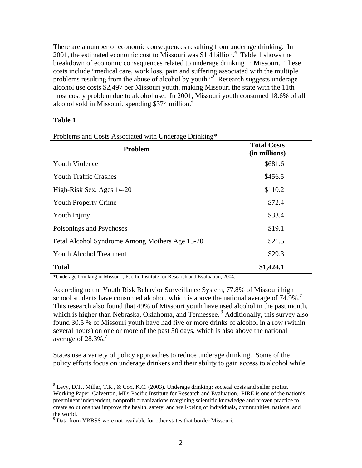There are a number of economic consequences resulting from underage drinking. In 2001, the estimated economic cost to Missouri was \$1.4 billion.<sup>4</sup> Table 1 shows the breakdown of economic consequences related to underage drinking in Missouri. These costs include "medical care, work loss, pain and suffering associated with the multiple problems resulting from the abuse of alcohol by youth.<sup>38</sup> Research suggests underage alcohol use costs \$2,497 per Missouri youth, making Missouri the state with the 11th most costly problem due to alcohol use. In 2001, Missouri youth consumed 18.6% of all alcohol sold in Missouri, spending \$374 million.<sup>4</sup>

## **Table 1**

 $\overline{a}$ 

| Problem                                        | <b>Total Costs</b><br>(in millions) |
|------------------------------------------------|-------------------------------------|
| <b>Youth Violence</b>                          | \$681.6                             |
| <b>Youth Traffic Crashes</b>                   | \$456.5                             |
| High-Risk Sex, Ages 14-20                      | \$110.2                             |
| <b>Youth Property Crime</b>                    | \$72.4                              |
| Youth Injury                                   | \$33.4                              |
| Poisonings and Psychoses                       | \$19.1                              |
| Fetal Alcohol Syndrome Among Mothers Age 15-20 | \$21.5                              |
| <b>Youth Alcohol Treatment</b>                 | \$29.3                              |
| <b>Total</b>                                   | \$1,424.1                           |

Problems and Costs Associated with Underage Drinking\*

\*Underage Drinking in Missouri, Pacific Institute for Research and Evaluation, 2004.

According to the Youth Risk Behavior Surveillance System, 77.8% of Missouri high school students have consumed alcohol, which is above the national average of 74.9%.<sup>7</sup> This research also found that 49% of Missouri youth have used alcohol in the past month, which is higher than Nebraska, Oklahoma, and Tennessee.<sup>9</sup> Additionally, this survey also found 30.5 % of Missouri youth have had five or more drinks of alcohol in a row (within several hours) on one or more of the past 30 days, which is also above the national average of  $28.3\%$ .<sup>7</sup>

States use a variety of policy approaches to reduce underage drinking. Some of the policy efforts focus on underage drinkers and their ability to gain access to alcohol while

 $8$  Levy, D.T., Miller, T.R., & Cox, K.C. (2003). Underage drinking: societal costs and seller profits. Working Paper. Calverton, MD: Pacific Institute for Research and Evaluation. PIRE is one of the nation's preeminent independent, nonprofit organizations margining scientific knowledge and proven practice to create solutions that improve the health, safety, and well-being of individuals, communities, nations, and the world.

<sup>&</sup>lt;sup>9</sup> Data from YRBSS were not available for other states that border Missouri.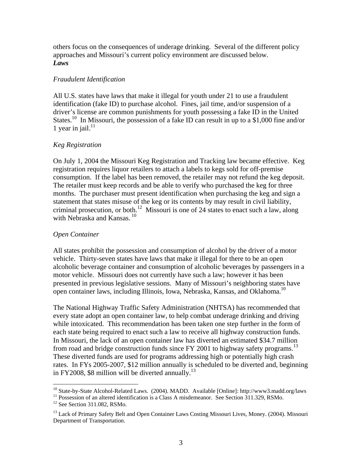others focus on the consequences of underage drinking. Several of the different policy approaches and Missouri's current policy environment are discussed below. *Laws* 

#### *Fraudulent Identification*

All U.S. states have laws that make it illegal for youth under 21 to use a fraudulent identification (fake ID) to purchase alcohol. Fines, jail time, and/or suspension of a driver's license are common punishments for youth possessing a fake ID in the United States.<sup>10</sup> In Missouri, the possession of a fake ID can result in up to a \$1,000 fine and/or 1 year in jail. $^{11}$ 

## *Keg Registration*

On July 1, 2004 the Missouri Keg Registration and Tracking law became effective. Keg registration requires liquor retailers to attach a labels to kegs sold for off-premise consumption. If the label has been removed, the retailer may not refund the keg deposit. The retailer must keep records and be able to verify who purchased the keg for three months. The purchaser must present identification when purchasing the keg and sign a statement that states misuse of the keg or its contents by may result in civil liability, criminal prosecution, or both.<sup>12</sup> Missouri is one of 24 states to enact such a law, along with Nebraska and Kansas.<sup>10</sup>

## *Open Container*

All states prohibit the possession and consumption of alcohol by the driver of a motor vehicle. Thirty-seven states have laws that make it illegal for there to be an open alcoholic beverage container and consumption of alcoholic beverages by passengers in a motor vehicle. Missouri does not currently have such a law; however it has been presented in previous legislative sessions. Many of Missouri's neighboring states have open container laws, including Illinois, Iowa, Nebraska, Kansas, and Oklahoma.<sup>10</sup>

The National Highway Traffic Safety Administration (NHTSA) has recommended that every state adopt an open container law, to help combat underage drinking and driving while intoxicated. This recommendation has been taken one step further in the form of each state being required to enact such a law to receive all highway construction funds. In Missouri, the lack of an open container law has diverted an estimated \$34.7 million from road and bridge construction funds since  $FY$  2001 to highway safety programs.<sup>13</sup> These diverted funds are used for programs addressing high or potentially high crash rates. In FYs 2005-2007, \$12 million annually is scheduled to be diverted and, beginning in FY2008, \$8 million will be diverted annually.<sup>13</sup>

<sup>&</sup>lt;sup>10</sup> State-by-State Alcohol-Related Laws. (2004). MADD. Available [Online]: http://www3.madd.org/laws

<sup>&</sup>lt;sup>11</sup> Possession of an altered identification is a Class A misdemeanor. See Section 311.329, RSMo.<br><sup>12</sup> See Section 311.082, RSMo.

<sup>&</sup>lt;sup>13</sup> Lack of Primary Safety Belt and Open Container Laws Costing Missouri Lives, Money. (2004). Missouri Department of Transportation.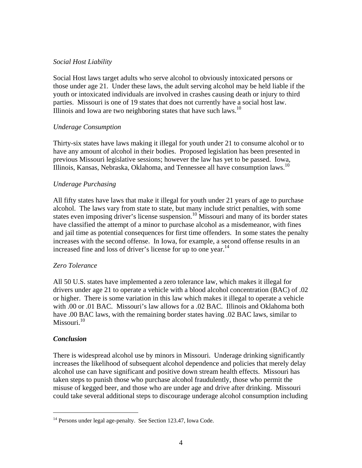## *Social Host Liability*

Social Host laws target adults who serve alcohol to obviously intoxicated persons or those under age 21. Under these laws, the adult serving alcohol may be held liable if the youth or intoxicated individuals are involved in crashes causing death or injury to third parties. Missouri is one of 19 states that does not currently have a social host law. Illinois and Iowa are two neighboring states that have such laws.<sup>10</sup>

## *Underage Consumption*

Thirty-six states have laws making it illegal for youth under 21 to consume alcohol or to have any amount of alcohol in their bodies. Proposed legislation has been presented in previous Missouri legislative sessions; however the law has yet to be passed. Iowa, Illinois, Kansas, Nebraska, Oklahoma, and Tennessee all have consumption laws.10

## *Underage Purchasing*

All fifty states have laws that make it illegal for youth under 21 years of age to purchase alcohol. The laws vary from state to state, but many include strict penalties, with some states even imposing driver's license suspension.<sup>10</sup> Missouri and many of its border states have classified the attempt of a minor to purchase alcohol as a misdemeanor, with fines and jail time as potential consequences for first time offenders. In some states the penalty increases with the second offense. In Iowa, for example, a second offense results in an increased fine and loss of driver's license for up to one year.<sup>14</sup>

## *Zero Tolerance*

All 50 U.S. states have implemented a zero tolerance law, which makes it illegal for drivers under age 21 to operate a vehicle with a blood alcohol concentration (BAC) of .02 or higher. There is some variation in this law which makes it illegal to operate a vehicle with .00 or .01 BAC. Missouri's law allows for a .02 BAC. Illinois and Oklahoma both have .00 BAC laws, with the remaining border states having .02 BAC laws, similar to Missouri. $10$ 

## *Conclusion*

<u>.</u>

There is widespread alcohol use by minors in Missouri. Underage drinking significantly increases the likelihood of subsequent alcohol dependence and policies that merely delay alcohol use can have significant and positive down stream health effects. Missouri has taken steps to punish those who purchase alcohol fraudulently, those who permit the misuse of kegged beer, and those who are under age and drive after drinking. Missouri could take several additional steps to discourage underage alcohol consumption including

<sup>&</sup>lt;sup>14</sup> Persons under legal age-penalty. See Section 123.47, Iowa Code.